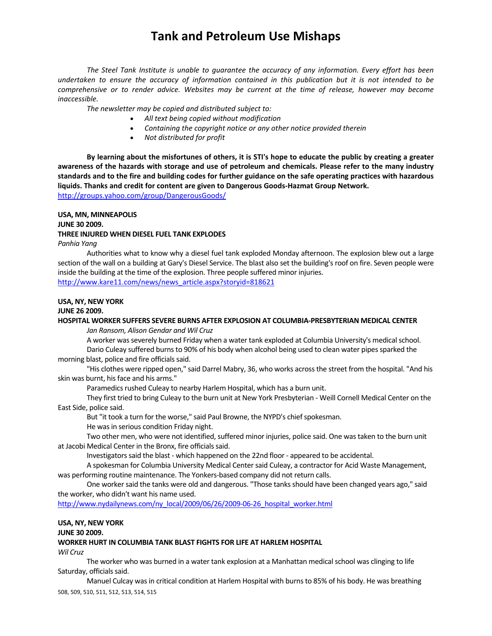*The Steel Tank Institute is unable to guarantee the accuracy of any information. Every effort has been* undertaken to ensure the accuracy of information contained in this publication but it is not intended to be *comprehensive or to render advice. Websites may be current at the time of release, however may become inaccessible.*

*The newsletter may be copied and distributed subject to:*

- *All text being copied without modification*
- *Containing the copyright notice or any other notice provided therein*
- *Not distributed for profit*

By learning about the misfortunes of others, it is STI's hope to educate the public by creating a greater awareness of the hazards with storage and use of petroleum and chemicals. Please refer to the many industry standards and to the fire and building codes for further guidance on the safe operating practices with hazardous **liquids. Thanks and credit for content are given to Dangerous Goods‐Hazmat Group Network.**  http://groups.yahoo.com/group/DangerousGoods/

**USA, MN, MINNEAPOLIS**

### **JUNE 30 2009. THREE INJURED WHEN DIESEL FUEL TANK EXPLODES**

*Panhia Yang*

Authorities what to know why a diesel fuel tank exploded Monday afternoon. The explosion blew out a large section of the wall on a building at Gary's Diesel Service. The blast also set the building's roof on fire. Seven people were inside the building at the time of the explosion. Three people suffered minor injuries. http://www.kare11.com/news/news\_article.aspx?storyid=818621

**USA, NY, NEW YORK**

### **JUNE 26 2009.**

### **HOSPITAL WORKER SUFFERS SEVERE BURNS AFTER EXPLOSION AT COLUMBIA‐PRESBYTERIAN MEDICAL CENTER**

*Jan Ransom, Alison Gendar and Wil Cruz*

A worker was severely burned Friday when a water tank exploded at Columbia University's medical school.

Dario Culeay suffered burns to 90% of his body when alcohol being used to clean water pipes sparked the morning blast, police and fire officials said.

"His clothes were ripped open," said Darrel Mabry, 36, who works acrossthe street from the hospital. "And his skin was burnt, his face and his arms."

Paramedics rushed Culeay to nearby Harlem Hospital, which has a burn unit.

They first tried to bring Culeay to the burn unit at New York Presbyterian ‐ Weill Cornell Medical Center on the East Side, police said.

But "it took a turn for the worse," said Paul Browne, the NYPD's chief spokesman.

He was in serious condition Friday night.

Two other men, who were not identified, suffered minor injuries, police said. One was taken to the burn unit at Jacobi Medical Center in the Bronx, fire officials said.

Investigators said the blast - which happened on the 22nd floor - appeared to be accidental.

A spokesman for Columbia University Medical Centersaid Culeay, a contractor for Acid Waste Management, was performing routine maintenance. The Yonkers-based company did not return calls.

One worker said the tanks were old and dangerous. "Those tanks should have been changed years ago," said the worker, who didn't want his name used.

http://www.nydailynews.com/ny\_local/2009/06/26/2009-06-26\_hospital\_worker.html

### **USA, NY, NEW YORK**

**JUNE 30 2009.** 

#### **WORKER HURT IN COLUMBIA TANK BLAST FIGHTS FOR LIFE AT HARLEM HOSPITAL**

*Wil Cruz*

The worker who was burned in a water tank explosion at a Manhattan medical school was clinging to life Saturday, officials said.

508, 509, 510, 511, 512, 513, 514, 515 Manuel Culcay was in critical condition at Harlem Hospital with burns to 85% of his body. He was breathing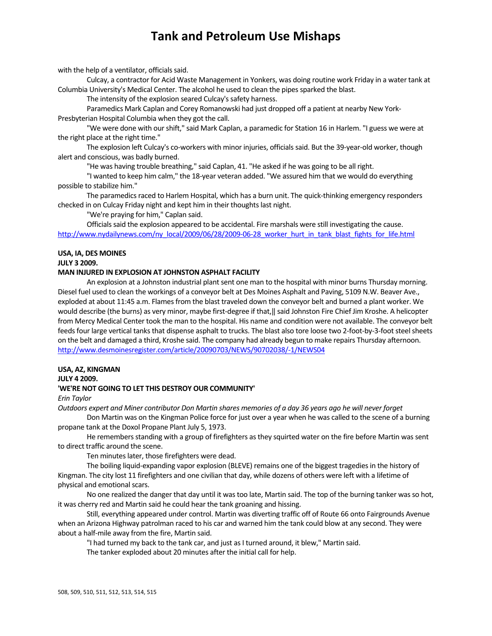with the help of a ventilator, officials said.

Culcay, a contractor for Acid Waste Management in Yonkers, was doing routine work Friday in a water tank at Columbia University's Medical Center. The alcohol he used to clean the pipes sparked the blast.

The intensity of the explosion seared Culcay's safety harness.

Paramedics Mark Caplan and Corey Romanowski had just dropped off a patient at nearby New York‐ Presbyterian Hospital Columbia when they got the call.

"We were done with ourshift," said Mark Caplan, a paramedic for Station 16 in Harlem. "I guess we were at the right place at the right time."

The explosion left Culcay's co‐workers with minor injuries, officialssaid. But the 39‐year‐old worker, though alert and conscious, was badly burned.

"He was having trouble breathing," said Caplan, 41. "He asked if he was going to be all right.

"I wanted to keep him calm," the 18‐year veteran added. "We assured him that we would do everything possible to stabilize him."

The paramedics raced to Harlem Hospital, which has a burn unit. The quick-thinking emergency responders checked in on Culcay Friday night and kept him in their thoughts last night.

"We're praying for him," Caplan said.

Officials said the explosion appeared to be accidental. Fire marshals were still investigating the cause. http://www.nydailynews.com/ny\_local/2009/06/28/2009-06-28\_worker\_hurt\_in\_tank\_blast\_fights\_for\_life.html

### **USA, IA, DES MOINES**

**JULY 3 2009.** 

#### **MAN INJURED IN EXPLOSION AT JOHNSTON ASPHALT FACILITY**

An explosion at a Johnston industrial plant sent one man to the hospital with minor burns Thursday morning. Diesel fuel used to clean the workings of a conveyor belt at Des Moines Asphalt and Paving, 5109 N.W. Beaver Ave., exploded at about 11:45 a.m. Flames from the blast traveled down the conveyor belt and burned a plant worker. We would describe (the burns) as very minor, maybe first-degree if that, || said Johnston Fire Chief Jim Kroshe. A helicopter from Mercy Medical Center took the man to the hospital. His name and condition were not available. The conveyor belt feeds four large vertical tanks that dispense asphalt to trucks. The blast also tore loose two 2-foot-by-3-foot steel sheets on the belt and damaged a third, Kroshe said. The company had already begun to make repairs Thursday afternoon. http://www.desmoinesregister.com/article/20090703/NEWS/90702038/‐1/NEWS04

#### **USA, AZ, KINGMAN**

**JULY 4 2009.** 

### **'WE'RE NOT GOING TO LET THIS DESTROY OUR COMMUNITY'**

*Erin Taylor*

Outdoors expert and Miner contributor Don Martin shares memories of a day 36 years ago he will never forget

Don Martin was on the Kingman Police force for just over a year when he was called to the scene of a burning propane tank at the Doxol Propane Plant July 5, 1973.

He remembers standing with a group of firefighters as they squirted water on the fire before Martin was sent to direct traffic around the scene.

Ten minutes later, those firefighters were dead.

The boiling liquid-expanding vapor explosion (BLEVE) remains one of the biggest tragedies in the history of Kingman. The city lost 11 firefighters and one civilian that day, while dozens of others were left with a lifetime of physical and emotional scars.

No one realized the danger that day until it was too late, Martin said. The top of the burning tanker was so hot, it was cherry red and Martin said he could hear the tank groaning and hissing.

Still, everything appeared under control. Martin was diverting traffic off of Route 66 onto Fairgrounds Avenue when an Arizona Highway patrolman raced to his car and warned him the tank could blow at any second. They were about a half‐mile away from the fire, Martin said.

"I had turned my back to the tank car, and just as I turned around, it blew," Martin said.

The tanker exploded about 20 minutes after the initial call for help.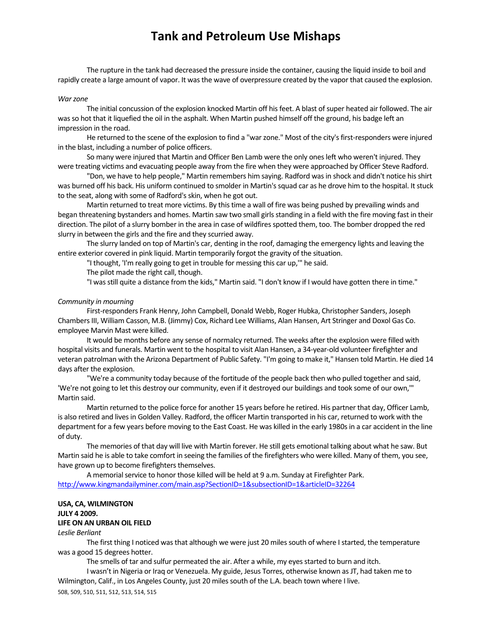The rupture in the tank had decreased the pressure inside the container, causing the liquid inside to boil and rapidly create a large amount of vapor. It was the wave of overpressure created by the vapor that caused the explosion.

#### *Warzone*

The initial concussion of the explosion knocked Martin off his feet. A blast of super heated air followed. The air wasso hot that it liquefied the oil in the asphalt. When Martin pushed himself off the ground, his badge left an impression in the road.

He returned to the scene of the explosion to find a "war zone." Most of the city's first-responders were injured in the blast, including a number of police officers.

So many were injured that Martin and Officer Ben Lamb were the only onesleft who weren't injured. They were treating victims and evacuating people away from the fire when they were approached by Officer Steve Radford.

"Don, we have to help people," Martin remembers him saying. Radford wasin shock and didn't notice hisshirt was burned off his back. His uniform continued to smolder in Martin's squad car as he drove him to the hospital. It stuck to the seat, along with some of Radford's skin, when he got out.

Martin returned to treat more victims. By this time a wall of fire was being pushed by prevailing winds and began threatening bystanders and homes. Martin saw two small girls standing in a field with the fire moving fast in their direction. The pilot of a slurry bomber in the area in case of wildfires spotted them, too. The bomber dropped the red slurry in between the girls and the fire and they scurried away.

The slurry landed on top of Martin's car, denting in the roof, damaging the emergency lights and leaving the entire exterior covered in pink liquid. Martin temporarily forgot the gravity of the situation.

"I thought, 'I'm really going to get in trouble for messing this car up,'" he said.

The pilot made the right call, though.

"I wasstill quite a distance from the kids," Martin said. "I don't know if I would have gotten there in time."

#### *Community in mourning*

First‐responders Frank Henry, John Campbell, Donald Webb, Roger Hubka, Christopher Sanders, Joseph ChambersIII, William Casson, M.B. (Jimmy) Cox, Richard Lee Williams, Alan Hansen, Art Stringer and Doxol Gas Co. employee Marvin Mast were killed.

It would be months before any sense of normalcy returned. The weeks after the explosion were filled with hospital visits and funerals. Martin went to the hospital to visit Alan Hansen, a 34‐year‐old volunteer firefighter and veteran patrolman with the Arizona Department of Public Safety. "I'm going to make it," Hansen told Martin. He died 14 days after the explosion.

"We're a community today because of the fortitude of the people back then who pulled together and said, 'We're not going to let this destroy our community, even if it destroyed our buildings and took some of our own,'" Martin said.

Martin returned to the police force for another 15 years before he retired. His partner that day, Officer Lamb, is also retired and lives in Golden Valley. Radford, the officer Martin transported in his car, returned to work with the department for a few years before moving to the East Coast. He was killed in the early 1980s in a car accident in the line of duty.

The memories of that day will live with Martin forever. He still gets emotional talking about what he saw. But Martin said he is able to take comfort in seeing the families of the firefighters who were killed. Many of them, you see, have grown up to become firefighters themselves.

A memorial service to honor those killed will be held at 9 a.m. Sunday at Firefighter Park. http://www.kingmandailyminer.com/main.asp?SectionID=1&subsectionID=1&articleID=32264

# **USA, CA, WILMINGTON JULY 4 2009.**

## **LIFE ON AN URBAN OIL FIELD**

*Leslie Berliant*

The first thing I noticed was that although we were just 20 miles south of where I started, the temperature was a good 15 degrees hotter.

The smells of tar and sulfur permeated the air. After a while, my eyesstarted to burn and itch.

508, 509, 510, 511, 512, 513, 514, 515 I wasn't in Nigeria or Iraq or Venezuela. My guide, Jesus Torres, otherwise known asJT, had taken me to Wilmington, Calif., in Los Angeles County, just 20 miles south of the L.A. beach town where I live.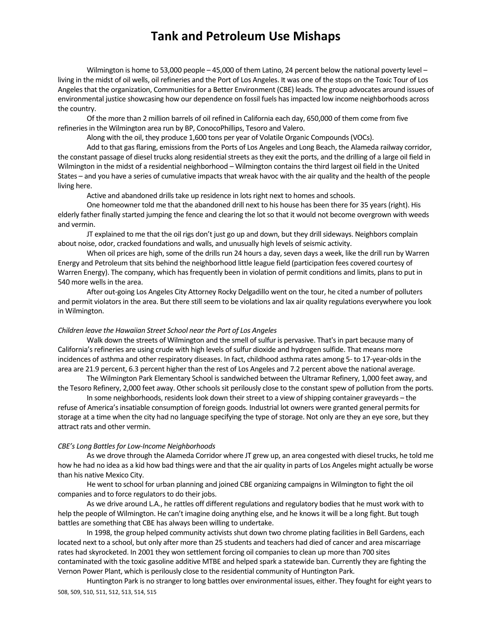Wilmington is home to 53,000 people - 45,000 of them Latino, 24 percent below the national poverty level living in the midst of oil wells, oil refineries and the Port of Los Angeles. It was one of the stops on the Toxic Tour of Los Angelesthat the organization, Communitiesfor a Better Environment (CBE) leads. The group advocates around issues of environmental justice showcasing how our dependence on fossil fuels hasimpacted low income neighborhoods across the country.

Of the more than 2 million barrels of oil refined in California each day, 650,000 of them come from five refineries in the Wilmington area run by BP, ConocoPhillips, Tesoro and Valero.

Along with the oil, they produce 1,600 tons per year of Volatile Organic Compounds(VOCs).

Add to that gas flaring, emissions from the Ports of Los Angeles and Long Beach, the Alameda railway corridor, the constant passage of diesel trucks along residential streets as they exit the ports, and the drilling of a large oil field in Wilmington in the midst of a residential neighborhood – Wilmington containsthe third largest oil field in the United States – and you have a series of cumulative impacts that wreak havoc with the air quality and the health of the people living here.

Active and abandoned drills take up residence in lots right next to homes and schools.

One homeowner told me that the abandoned drill next to his house has been there for 35 years(right). His elderly father finally started jumping the fence and clearing the lot so that it would not become overgrown with weeds and vermin.

JT explained to me that the oil rigs don't just go up and down, but they drill sideways. Neighbors complain about noise, odor, cracked foundations and walls, and unusually high levels of seismic activity.

When oil prices are high, some of the drills run 24 hours a day, seven days a week, like the drill run by Warren Energy and Petroleum that sits behind the neighborhood little league field (participation fees covered courtesy of Warren Energy). The company, which has frequently been in violation of permit conditions and limits, plans to put in 540 more wells in the area.

After out‐going Los Angeles City Attorney Rocky Delgadillo went on the tour, he cited a number of polluters and permit violators in the area. But there still seem to be violations and lax air quality regulations everywhere you look in Wilmington.

#### *Children leave the Hawaiian Street School near the Port of Los Angeles*

Walk down the streets of Wilmington and the smell of sulfur is pervasive. That's in part because many of California's refineries are using crude with high levels of sulfur dioxide and hydrogen sulfide. That means more incidences of asthma and other respiratory diseases. In fact, childhood asthma rates among 5‐ to 17‐year‐oldsin the area are 21.9 percent, 6.3 percent higher than the rest of Los Angeles and 7.2 percent above the national average.

The Wilmington Park Elementary School is sandwiched between the Ultramar Refinery, 1,000 feet away, and the Tesoro Refinery, 2,000 feet away. Other schools sit perilously close to the constant spew of pollution from the ports.

In some neighborhoods, residents look down their street to a view of shipping container graveyards - the refuse of America's insatiable consumption of foreign goods. Industrial lot owners were granted general permits for storage at a time when the city had no language specifying the type of storage. Not only are they an eye sore, but they attract rats and other vermin.

#### *CBE's Long Battlesfor Low‐Income Neighborhoods*

As we drove through the Alameda Corridor where JT grew up, an area congested with diesel trucks, he told me how he had no idea as a kid how bad things were and that the air quality in parts of Los Angeles might actually be worse than his native Mexico City.

He went to school for urban planning and joined CBE organizing campaignsin Wilmington to fight the oil companies and to force regulators to do their jobs.

As we drive around L.A., he rattles off different regulations and regulatory bodiesthat he must work with to help the people of Wilmington. He can't imagine doing anything else, and he knows it will be a long fight. But tough battles are something that CBE has always been willing to undertake.

In 1998, the group helped community activists shut down two chrome plating facilities in Bell Gardens, each located next to a school, but only after more than 25 students and teachers had died of cancer and area miscarriage rates had skyrocketed. In 2001 they won settlement forcing oil companiesto clean up more than 700 sites contaminated with the toxic gasoline additive MTBE and helped spark a statewide ban. Currently they are fighting the Vernon Power Plant, which is perilously close to the residential community of Huntington Park.

508, 509, 510, 511, 512, 513, 514, 515 Huntington Park is no stranger to long battles over environmental issues, either. They fought for eight years to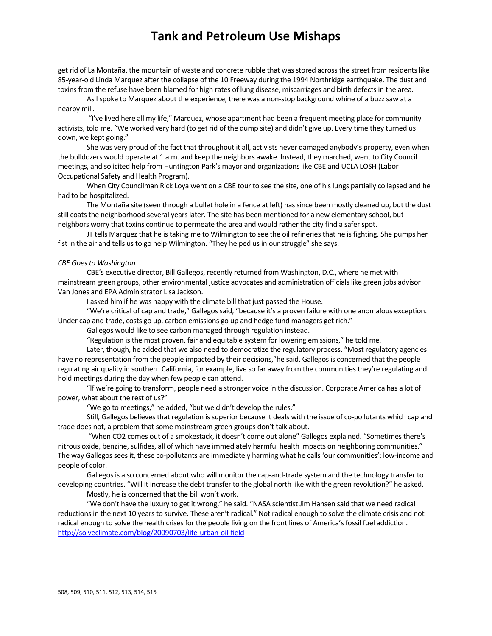get rid of La Montaña, the mountain of waste and concrete rubble that was stored across the street from residents like 85-year-old Linda Marquez after the collapse of the 10 Freeway during the 1994 Northridge earthquake. The dust and toxins from the refuse have been blamed for high rates of lung disease, miscarriages and birth defects in the area.

As I spoke to Marquez about the experience, there was a non-stop background whine of a buzz saw at a nearby mill.

"I've lived here all my life," Marquez, whose apartment had been a frequent meeting place for community activists, told me. "We worked very hard (to get rid of the dump site) and didn't give up. Every time they turned us down, we kept going."

She was very proud of the fact that throughout it all, activists never damaged anybody's property, even when the bulldozers would operate at 1 a.m. and keep the neighbors awake. Instead, they marched, went to City Council meetings, and solicited help from Huntington Park's mayor and organizationslike CBE and UCLA LOSH (Labor Occupational Safety and Health Program).

When City Councilman Rick Loya went on a CBE tour to see the site, one of hislungs partially collapsed and he had to be hospitalized.

The Montaña site (seen through a bullet hole in a fence at left) has since been mostly cleaned up, but the dust still coats the neighborhood several years later. The site has been mentioned for a new elementary school, but neighbors worry that toxins continue to permeate the area and would rather the city find a saferspot.

JT tells Marquez that he is taking me to Wilmington to see the oil refineries that he is fighting. She pumps her fist in the air and tells us to go help Wilmington. "They helped us in our struggle" she says.

#### $CBE$  *Goes to Washington*

CBE's executive director, Bill Gallegos, recently returned from Washington, D.C., where he met with mainstream green groups, other environmental justice advocates and administration officials like green jobs advisor Van Jones and EPA Administrator Lisa Jackson.

I asked him if he was happy with the climate bill that just passed the House.

"We're critical of cap and trade," Gallegos said, "because it's a proven failure with one anomalous exception. Under cap and trade, costs go up, carbon emissions go up and hedge fund managers get rich."

Gallegos would like to see carbon managed through regulation instead.

"Regulation is the most proven, fair and equitable system for lowering emissions," he told me.

Later, though, he added that we also need to democratize the regulatory process. "Most regulatory agencies have no representation from the people impacted by their decisions,"he said. Gallegos is concerned that the people regulating air quality in southern California, for example, live so far away from the communities they're regulating and hold meetings during the day when few people can attend.

"If we're going to transform, people need a stronger voice in the discussion. Corporate America has a lot of power, what about the rest of us?"

"We go to meetings," he added, "but we didn't develop the rules."

Still, Gallegos believes that regulation is superior because it deals with the issue of co-pollutants which cap and trade does not, a problem that some mainstream green groups don't talk about.

"When CO2 comes out of a smokestack, it doesn't come out alone" Gallegos explained. "Sometimes there's nitrous oxide, benzine, sulfides, all of which have immediately harmful health impacts on neighboring communities." The way Gallegos sees it, these co-pollutants are immediately harming what he calls 'our communities': low-income and people of color.

Gallegos is also concerned about who will monitor the cap-and-trade system and the technology transfer to developing countries. "Will it increase the debt transfer to the global north like with the green revolution?" he asked.

Mostly, he is concerned that the bill won't work.

"We don't have the luxury to get it wrong," he said. "NASA scientist Jim Hansen said that we need radical reductions in the next 10 years to survive. These aren't radical." Not radical enough to solve the climate crisis and not radical enough to solve the health crises for the people living on the front lines of America's fossil fuel addiction. http://solveclimate.com/blog/20090703/life‐urban‐oil‐field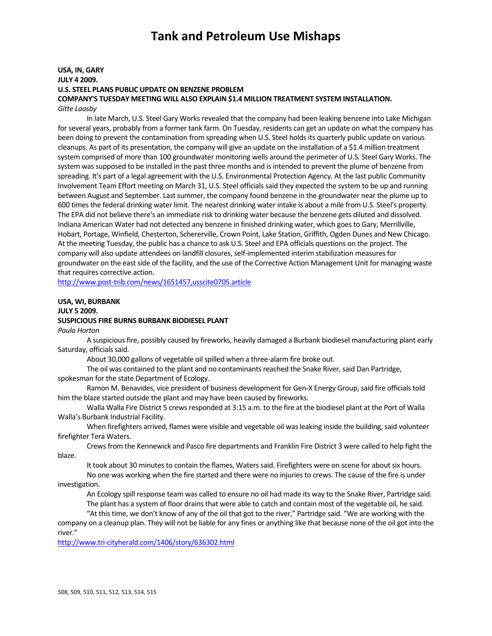### **USA, IN, GARY JULY 4 2009. U.S. STEEL PLANS PUBLIC UPDATE ON BENZENE PROBLEM COMPANY'S TUESDAY MEETING WILL ALSO EXPLAIN \$1.4 MILLION TREATMENT SYSTEM INSTALLATION.** *Gitte Laasby*

In late March, U.S. Steel Gary Works revealed that the company had been leaking benzene into Lake Michigan for several years, probably from a former tank farm. On Tuesday, residents can get an update on what the company has been doing to prevent the contamination from spreading when U.S. Steel holdsits quarterly public update on various cleanups. As part of its presentation, the company will give an update on the installation of a \$1.4 million treatment system comprised of more than 100 groundwater monitoring wells around the perimeter of U.S. Steel Gary Works. The system was supposed to be installed in the past three months and is intended to prevent the plume of benzene from spreading. It's part of a legal agreement with the U.S. Environmental Protection Agency. At the last public Community Involvement Team Effort meeting on March 31, U.S. Steel officials said they expected the system to be up and running between August and September. Last summer, the company found benzene in the groundwater near the plume up to 600 timesthe federal drinking water limit. The nearest drinking water intake is about a mile from U.S. Steel's property. The EPA did not believe there's an immediate risk to drinking water because the benzene gets diluted and dissolved. Indiana American Water had not detected any benzene in finished drinking water, which goesto Gary, Merrillville, Hobart, Portage, Winfield, Chesterton, Schererville, Crown Point, Lake Station, Griffith, Ogden Dunes and New Chicago. At the meeting Tuesday, the public has a chance to ask U.S. Steel and EPA officials questions on the project. The company will also update attendees on landfill closures, self-implemented interim stabilization measures for groundwater on the eastside of the facility, and the use of the Corrective Action Management Unit for managing waste that requires corrective action.

http://www.post‐trib.com/news/1651457,usscite0705.article

## **USA, WI, BURBANK JULY 5 2009. SUSPICIOUS FIRE BURNS BURBANK BIODIESEL PLANT**

*Paula Horton*

A suspicious fire, possibly caused by fireworks, heavily damaged a Burbank biodiesel manufacturing plant early Saturday, officials said.

About 30,000 gallons of vegetable oil spilled when a three-alarm fire broke out.

The oil was contained to the plant and no contaminants reached the Snake River, said Dan Partridge, spokesman for the state Department of Ecology.

Ramon M. Benavides, vice president of business development for Gen-X Energy Group, said fire officials told him the blaze started outside the plant and may have been caused by fireworks.

Walla Walla Fire District 5 crews responded at 3:15 a.m. to the fire at the biodiesel plant at the Port of Walla Walla's Burbank Industrial Facility.

When firefighters arrived, flames were visible and vegetable oil was leaking inside the building, said volunteer firefighter Tera Waters.

Crewsfrom the Kennewick and Pasco fire departments and Franklin Fire District 3 were called to help fight the blaze.

It took about 30 minutes to contain the flames, Waters said. Firefighters were on scene for about six hours.

No one was working when the fire started and there were no injuriesto crews. The cause of the fire is under investigation.

An Ecology spill response team was called to ensure no oil had made its way to the Snake River, Partridge said. The plant has a system of floor drains that were able to catch and contain most of the vegetable oil, he said.

"At thistime, we don't know of any of the oil that got to the river," Partridge said. "We are working with the

company on a cleanup plan. They will not be liable for any fines or anything like that because none of the oil got into the river."

http://www.tri‐cityherald.com/1406/story/636302.html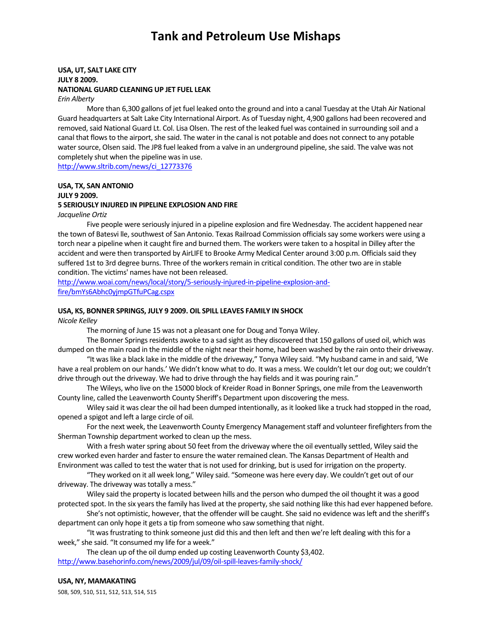### **USA, UT, SALT LAKE CITY JULY 8 2009. NATIONAL GUARD CLEANING UP JET FUEL LEAK**

*Erin Alberty*

More than 6,300 gallons of jet fuel leaked onto the ground and into a canal Tuesday at the Utah Air National Guard headquarters at Salt Lake City International Airport. As of Tuesday night, 4,900 gallons had been recovered and removed, said National Guard Lt. Col. Lisa Olsen. The rest of the leaked fuel was contained in surrounding soil and a canal that flows to the airport, she said. The water in the canal is not potable and does not connect to any potable water source, Olsen said. The JP8 fuel leaked from a valve in an underground pipeline, she said. The valve was not completely shut when the pipeline was in use.

http://www.sltrib.com/news/ci\_12773376

#### **USA, TX, SAN ANTONIO**

**JULY 9 2009.** 

#### **5 SERIOUSLY INJURED IN PIPELINE EXPLOSION AND FIRE**

*Jacqueline Ortiz*

Five people were seriously injured in a pipeline explosion and fire Wednesday. The accident happened near the town of Batesvi lle, southwest of San Antonio. Texas Railroad Commission officials say some workers were using a torch near a pipeline when it caught fire and burned them. The workers were taken to a hospital in Dilley after the accident and were then transported by AirLIFE to Brooke Army Medical Center around 3:00 p.m. Officials said they suffered 1st to 3rd degree burns. Three of the workers remain in critical condition. The other two are in stable condition. The victims' names have not been released.

http://www.woai.com/news/local/story/5-seriously-injured-in-pipeline-explosion-andfire/bmYs6Abhc0yjmpGTfuPCag.cspx

### **USA, KS, BONNER SPRINGS, JULY 9 2009. OIL SPILL LEAVES FAMILY IN SHOCK**

*Nicole Kelley*

The morning of June 15 was not a pleasant one for Doug and Tonya Wiley.

The Bonner Springs residents awoke to a sad sight as they discovered that 150 gallons of used oil, which was dumped on the main road in the middle of the night near their home, had been washed by the rain onto their driveway.

"It waslike a black lake in the middle of the driveway," Tonya Wiley said. "My husband came in and said, 'We have a real problem on our hands.' We didn't know what to do. It was a mess. We couldn't let our dog out; we couldn't drive through out the driveway. We had to drive through the hay fields and it was pouring rain."

The Wileys, who live on the 15000 block of Kreider Road in Bonner Springs, one mile from the Leavenworth County line, called the Leavenworth County Sheriff's Department upon discovering the mess.

Wiley said it was clear the oil had been dumped intentionally, as it looked like a truck had stopped in the road, opened a spigot and left a large circle of oil.

For the next week, the Leavenworth County Emergency Management staff and volunteer firefighters from the Sherman Township department worked to clean up the mess.

With a fresh water spring about 50 feet from the driveway where the oil eventually settled, Wiley said the crew worked even harder and faster to ensure the water remained clean. The Kansas Department of Health and Environment was called to test the water that is not used for drinking, but is used for irrigation on the property.

"They worked on it all week long," Wiley said. "Someone was here every day. We couldn't get out of our driveway. The driveway was totally a mess."

Wiley said the property islocated between hills and the person who dumped the oil thought it was a good protected spot. In the six years the family has lived at the property, she said nothing like this had ever happened before.

She's not optimistic, however, that the offender will be caught. She said no evidence wasleft and the sheriff's department can only hope it gets a tip from someone who saw something that night.

"It was frustrating to think someone just did this and then left and then we're left dealing with this for a week," she said. "It consumed my life for a week."

The clean up of the oil dump ended up costing Leavenworth County \$3,402. http://www.basehorinfo.com/news/2009/jul/09/oil-spill-leaves-family-shock/

#### **USA, NY, MAMAKATING**

508, 509, 510, 511, 512, 513, 514, 515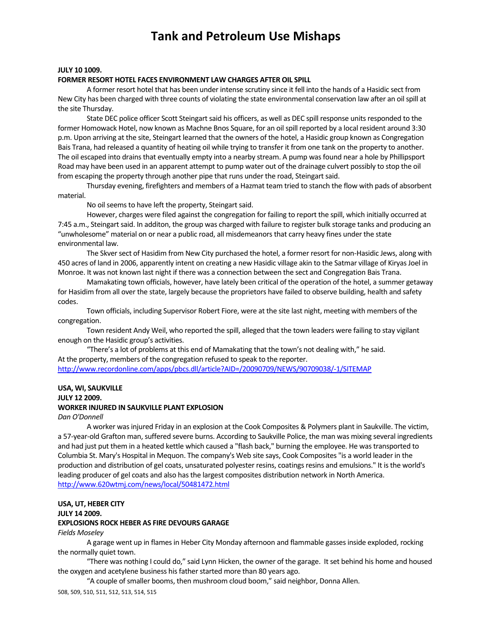#### **JULY 10 1009.**

#### **FORMER RESORT HOTEL FACES ENVIRONMENT LAW CHARGES AFTER OIL SPILL**

A former resort hotel that has been under intense scrutiny since it fell into the hands of a Hasidic sect from New City has been charged with three counts of violating the state environmental conservation law after an oil spill at the site Thursday.

State DEC police officer Scott Steingart said his officers, as well as DEC spill response units responded to the former Homowack Hotel, now known as Machne Bnos Square, for an oilspill reported by a local resident around 3:30 p.m. Upon arriving at the site, Steingart learned that the owners of the hotel, a Hasidic group known as Congregation Bais Trana, had released a quantity of heating oil while trying to transfer it from one tank on the property to another. The oil escaped into drains that eventually empty into a nearby stream. A pump was found near a hole by Phillipsport Road may have been used in an apparent attempt to pump water out of the drainage culvert possibly to stop the oil from escaping the property through another pipe that runs under the road, Steingart said.

Thursday evening, firefighters and members of a Hazmat team tried to stanch the flow with pads of absorbent material.

No oil seems to have left the property, Steingart said.

However, charges were filed against the congregation for failing to report the spill, which initially occurred at 7:45 a.m., Steingart said. In additon, the group was charged with failure to register bulk storage tanks and producing an "unwholesome" material on or near a public road, all misdemeanorsthat carry heavy fines under the state environmental law.

The Skver sect of Hasidim from New City purchased the hotel, a former resort for non-Hasidic Jews, along with 450 acres of land in 2006, apparently intent on creating a new Hasidic village akin to the Satmar village of Kiryas Joel in Monroe. It was not known last night if there was a connection between the sect and Congregation Bais Trana.

Mamakating town officials, however, have lately been critical of the operation of the hotel, a summer getaway for Hasidim from all over the state, largely because the proprietors have failed to observe building, health and safety codes.

Town officials, including Supervisor Robert Fiore, were at the site last night, meeting with members of the congregation.

Town resident Andy Weil, who reported the spill, alleged that the town leaders were failing to stay vigilant enough on the Hasidic group's activities.

"There's a lot of problems at this end of Mamakating that the town's not dealing with," he said. At the property, members of the congregation refused to speak to the reporter. http://www.recordonline.com/apps/pbcs.dll/article?AID=/20090709/NEWS/90709038/‐1/SITEMAP

## **USA, WI, SAUKVILLE**

**JULY 12 2009.** 

#### **WORKER INJURED IN SAUKVILLE PLANT EXPLOSION**

*Dan O'Donnell*

A worker wasinjured Friday in an explosion at the Cook Composites & Polymers plant in Saukville. The victim, a 57-year-old Grafton man, suffered severe burns. According to Saukville Police, the man was mixing several ingredients and had just put them in a heated kettle which caused a "flash back," burning the employee. He wastransported to Columbia St. Mary's Hospital in Mequon. The company's Web site says, Cook Composites "is a world leader in the production and distribution of gel coats, unsaturated polyester resins, coatings resins and emulsions." It is the world's leading producer of gel coats and also has the largest composites distribution network in North America. http://www.620wtmj.com/news/local/50481472.html

#### **USA, UT, HEBER CITY**

**JULY 14 2009.** 

#### **EXPLOSIONS ROCK HEBER AS FIRE DEVOURS GARAGE**

#### *Fields Moseley*

A garage went up in flames in Heber City Monday afternoon and flammable gasses inside exploded, rocking the normally quiet town.

"There was nothing I could do," said Lynn Hicken, the owner of the garage. It set behind his home and housed the oxygen and acetylene business his father started more than 80 years ago.

"A couple of smaller booms, then mushroom cloud boom," said neighbor, Donna Allen.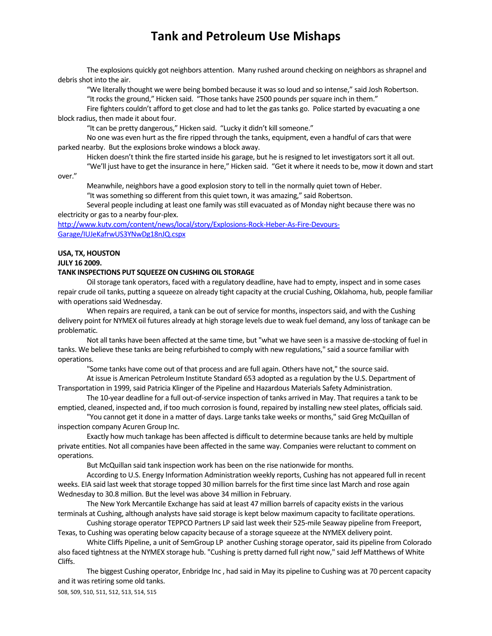The explosions quickly got neighbors attention. Many rushed around checking on neighbors asshrapnel and debris shot into the air.

"We literally thought we were being bombed because it wasso loud and so intense," said Josh Robertson. "It rocks the ground," Hicken said. "Those tanks have 2500 pounds per square inch in them."

Fire fighters couldn't afford to get close and had to let the gas tanks go. Police started by evacuating a one block radius, then made it about four.

"It can be pretty dangerous," Hicken said. "Lucky it didn't kill someone."

No one was even hurt asthe fire ripped through the tanks, equipment, even a handful of carsthat were parked nearby. But the explosions broke windows a block away.

Hicken doesn't think the fire started inside his garage, but he is resigned to let investigators sort it all out.

"We'll just have to get the insurance in here," Hicken said. "Get it where it needsto be, mow it down and start

over."

Meanwhile, neighbors have a good explosion story to tell in the normally quiet town of Heber. "It was something so different from this quiet town, it was amazing," said Robertson.

Several people including at least one family was still evacuated as of Monday night because there was no electricity or gas to a nearby four-plex.

http://www.kutv.com/content/news/local/story/Explosions‐Rock‐Heber‐As‐Fire‐Devours‐ Garage/IUJeKafrwUS3YNwDg18nJQ.cspx

## **USA, TX, HOUSTON**

**JULY 16 2009.** 

#### **TANK INSPECTIONS PUT SQUEEZE ON CUSHING OIL STORAGE**

Oil storage tank operators, faced with a regulatory deadline, have had to empty, inspect and in some cases repair crude oil tanks, putting a squeeze on already tight capacity at the crucial Cushing, Oklahoma, hub, people familiar with operations said Wednesday.

When repairs are required, a tank can be out of service for months, inspectors said, and with the Cushing delivery point for NYMEX oil futures already at high storage levels due to weak fuel demand, any loss of tankage can be problematic.

Not all tanks have been affected at the same time, but "what we have seen is a massive de‐stocking of fuel in tanks. We believe these tanks are being refurbished to comply with new regulations," said a source familiar with operations.

"Some tanks have come out of that process and are full again. Others have not," the source said.

At issue is American Petroleum Institute Standard 653 adopted as a regulation by the U.S. Department of Transportation in 1999, said Patricia Klinger of the Pipeline and Hazardous Materials Safety Administration.

The 10‐year deadline for a full out‐of‐service inspection of tanks arrived in May. That requires a tank to be emptied, cleaned, inspected and, if too much corrosion is found, repaired by installing new steel plates, officials said.

"You cannot get it done in a matter of days. Large tankstake weeks or months," said Greg McQuillan of inspection company Acuren Group Inc.

Exactly how much tankage has been affected is difficult to determine because tanks are held by multiple private entities. Not all companies have been affected in the same way. Companies were reluctant to comment on operations.

But McQuillan said tank inspection work has been on the rise nationwide for months.

According to U.S. Energy Information Administration weekly reports, Cushing has not appeared full in recent weeks. EIA said last week that storage topped 30 million barrels for the first time since last March and rose again Wednesday to 30.8 million. But the level was above 34 million in February.

The New York Mercantile Exchange has said at least 47 million barrels of capacity exists in the various terminals at Cushing, although analysts have said storage is kept below maximum capacity to facilitate operations.

Cushing storage operator TEPPCO Partners LP said last week their 525‐mile Seaway pipeline from Freeport, Texas, to Cushing was operating below capacity because of a storage squeeze at the NYMEX delivery point.

White Cliffs Pipeline, a unit of SemGroup LP another Cushing storage operator, said its pipeline from Colorado also faced tightness at the NYMEX storage hub. "Cushing is pretty darned full right now," said Jeff Matthews of White Cliffs.

The biggest Cushing operator, Enbridge Inc , had said in May its pipeline to Cushing was at 70 percent capacity and it was retiring some old tanks.

```
508, 509, 510, 511, 512, 513, 514, 515
```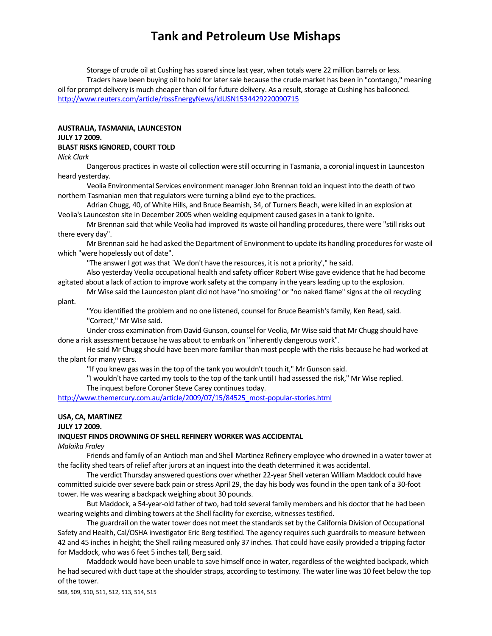Storage of crude oil at Cushing has soared since last year, when totals were 22 million barrels or less. Traders have been buying oil to hold for latersale because the crude market has been in "contango," meaning oil for prompt delivery is much cheaper than oil for future delivery. As a result, storage at Cushing has ballooned. http://www.reuters.com/article/rbssEnergyNews/idUSN1534429220090715

#### **AUSTRALIA, TASMANIA, LAUNCESTON JULY 17 2009.**

#### **BLAST RISKS IGNORED, COURT TOLD**

*Nick Clark*

Dangerous practicesin waste oil collection were still occurring in Tasmania, a coronial inquest in Launceston heard yesterday.

Veolia Environmental Services environment manager John Brennan told an inquest into the death of two northern Tasmanian men that regulators were turning a blind eye to the practices.

Adrian Chugg, 40, of White Hills, and Bruce Beamish, 34, of Turners Beach, were killed in an explosion at Veolia's Launceston site in December 2005 when welding equipment caused gasesin a tank to ignite.

Mr Brennan said that while Veolia had improved its waste oil handling procedures, there were "still risks out there every day".

Mr Brennan said he had asked the Department of Environment to update its handling proceduresfor waste oil which "were hopelessly out of date".

"The answer I got was that `We don't have the resources, it is not a priority'," he said.

Also yesterday Veolia occupational health and safety officer Robert Wise gave evidence that he had become agitated about a lack of action to improve work safety at the company in the years leading up to the explosion.

Mr Wise said the Launceston plant did not have "no smoking" or "no naked flame" signs at the oil recycling plant.

"You identified the problem and no one listened, counsel for Bruce Beamish'sfamily, Ken Read,said.

"Correct," Mr Wise said.

Under cross examination from David Gunson, counsel for Veolia, Mr Wise said that Mr Chugg should have done a risk assessment because he was about to embark on "inherently dangerous work".

He said Mr Chugg should have been more familiar than most people with the risks because he had worked at the plant for many years.

"If you knew gas wasin the top of the tank you wouldn't touch it," Mr Gunson said.

"I wouldn't have carted my tools to the top of the tank until I had assessed the risk," Mr Wise replied. The inquest before Coroner Steve Carey continues today.

http://www.themercury.com.au/article/2009/07/15/84525\_most-popular-stories.html

#### **USA, CA, MARTINEZ**

**JULY 17 2009.**

#### **INQUEST FINDS DROWNING OF SHELL REFINERY WORKER WAS ACCIDENTAL**

*Malaika Fraley*

Friends and family of an Antioch man and Shell Martinez Refinery employee who drowned in a water tower at the facility shed tears of relief after jurors at an inquest into the death determined it was accidental.

The verdict Thursday answered questions over whether 22‐year Shell veteran William Maddock could have committed suicide over severe back pain or stress April 29, the day his body was found in the open tank of a 30-foot tower. He was wearing a backpack weighing about 30 pounds.

But Maddock, a 54‐year‐old father of two, had told several family members and his doctor that he had been wearing weights and climbing towers at the Shell facility for exercise, witnesses testified.

The guardrail on the water tower does not meet the standardsset by the California Division of Occupational Safety and Health, Cal/OSHA investigator Eric Berg testified. The agency requires such guardrails to measure between 42 and 45 inchesin height; the Shell railing measured only 37 inches. That could have easily provided a tripping factor for Maddock, who was 6 feet 5 inches tall, Berg said.

Maddock would have been unable to save himself once in water, regardless of the weighted backpack, which he had secured with duct tape at the shoulder straps, according to testimony. The water line was 10 feet below the top of the tower.

508, 509, 510, 511, 512, 513, 514, 515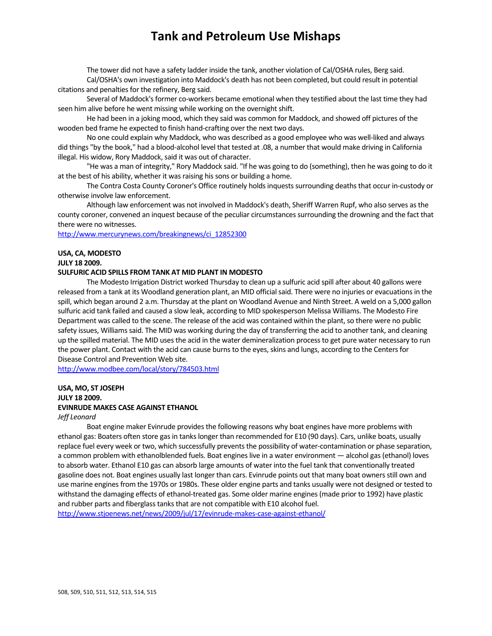The tower did not have a safety ladder inside the tank, another violation of Cal/OSHA rules, Berg said. Cal/OSHA's own investigation into Maddock's death has not been completed, but could result in potential

citations and penalties for the refinery, Berg said.

Several of Maddock's former co-workers became emotional when they testified about the last time they had seen him alive before he went missing while working on the overnight shift.

He had been in a joking mood, which they said was common for Maddock, and showed off pictures of the wooden bed frame he expected to finish hand‐crafting over the next two days.

No one could explain why Maddock, who was described as a good employee who was well‐liked and always did things "by the book," had a blood‐alcohol level that tested at .08, a number that would make driving in California illegal. His widow, Rory Maddock, said it was out of character.

"He was a man of integrity," Rory Maddock said. "If he was going to do (something), then he was going to do it at the best of his ability, whether it was raising his sons or building a home.

The Contra Costa County Coroner's Office routinely holds inquests surrounding deaths that occur in-custody or otherwise involve law enforcement.

Although law enforcement was not involved in Maddock's death, Sheriff Warren Rupf, who also serves asthe county coroner, convened an inquest because of the peculiar circumstancessurrounding the drowning and the fact that there were no witnesses.

http://www.mercurynews.com/breakingnews/ci\_12852300

### **USA, CA, MODESTO**

**JULY 18 2009.** 

#### **SULFURIC ACID SPILLS FROM TANK AT MID PLANT IN MODESTO**

The Modesto Irrigation District worked Thursday to clean up a sulfuric acid spill after about 40 gallons were released from a tank at its Woodland generation plant, an MID official said. There were no injuries or evacuations in the spill, which began around 2 a.m. Thursday at the plant on Woodland Avenue and Ninth Street. A weld on a 5,000 gallon sulfuric acid tank failed and caused a slow leak, according to MID spokesperson Melissa Williams. The Modesto Fire Department was called to the scene. The release of the acid was contained within the plant, so there were no public safety issues, Williams said. The MID was working during the day of transferring the acid to another tank, and cleaning up the spilled material. The MID uses the acid in the water demineralization process to get pure water necessary to run the power plant. Contact with the acid can cause burns to the eyes, skins and lungs, according to the Centers for Disease Control and Prevention Web site.

http://www.modbee.com/local/story/784503.html

### **USA, MO, ST JOSEPH JULY 18 2009. EVINRUDE MAKES CASE AGAINST ETHANOL**

#### *Jeff Leonard*

Boat engine maker Evinrude provides the following reasons why boat engines have more problems with ethanol gas: Boaters often store gas in tanks longer than recommended for E10 (90 days). Cars, unlike boats, usually replace fuel every week or two, which successfully prevents the possibility of water-contamination or phase separation, a common problem with ethanolblended fuels. Boat engines live in a water environment — alcohol gas (ethanol) loves to absorb water. Ethanol E10 gas can absorb large amounts of water into the fuel tank that conventionally treated gasoline does not. Boat engines usually last longer than cars. Evinrude points out that many boat ownersstill own and use marine engines from the 1970s or 1980s. These older engine parts and tanks usually were not designed or tested to withstand the damaging effects of ethanol-treated gas. Some older marine engines (made prior to 1992) have plastic and rubber parts and fiberglass tanks that are not compatible with E10 alcohol fuel.

http://www.stjoenews.net/news/2009/jul/17/evinrude-makes-case-against-ethanol/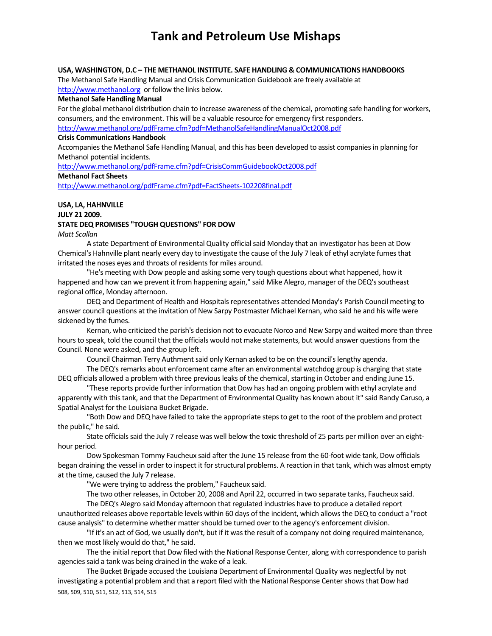### **USA, WASHINGTON, D.C – THE METHANOL INSTITUTE. SAFE HANDLING & COMMUNICATIONS HANDBOOKS**

The Methanol Safe Handling Manual and Crisis Communication Guidebook are freely available at http://www.methanol.org or follow the links below.

#### **Methanol Safe Handling Manual**

For the global methanol distribution chain to increase awareness of the chemical, promoting safe handling for workers, consumers, and the environment. This will be a valuable resource for emergency first responders. http://www.methanol.org/pdfFrame.cfm?pdf=MethanolSafeHandlingManualOct2008.pdf

#### **Crisis Communications Handbook**

Accompanies the Methanol Safe Handling Manual, and this has been developed to assist companies in planning for Methanol potential incidents.

http://www.methanol.org/pdfFrame.cfm?pdf=CrisisCommGuidebookOct2008.pdf

### **Methanol Fact Sheets**

http://www.methanol.org/pdfFrame.cfm?pdf=FactSheets‐102208final.pdf

#### **USA, LA, HAHNVILLE JULY 21 2009.**

# **STATE DEQ PROMISES "TOUGH QUESTIONS" FOR DOW**

*Matt Scallan*

A state Department of Environmental Quality official said Monday that an investigator has been at Dow Chemical's Hahnville plant nearly every day to investigate the cause of the July 7 leak of ethyl acrylate fumes that irritated the noses eyes and throats of residents for miles around.

"He's meeting with Dow people and asking some very tough questions about what happened, how it happened and how can we prevent it from happening again," said Mike Alegro, manager of the DEQ's southeast regional office, Monday afternoon.

DEQ and Department of Health and Hospitals representatives attended Monday's Parish Council meeting to answer council questions at the invitation of New Sarpy Postmaster Michael Kernan, who said he and his wife were sickened by the fumes.

Kernan, who criticized the parish's decision not to evacuate Norco and New Sarpy and waited more than three hours to speak, told the council that the officials would not make statements, but would answer questions from the Council. None were asked, and the group left.

Council Chairman Terry Authment said only Kernan asked to be on the council's lengthy agenda.

The DEQ's remarks about enforcement came after an environmental watchdog group is charging that state DEQ officials allowed a problem with three previous leaks of the chemical, starting in October and ending June 15.

"These reports provide further information that Dow has had an ongoing problem with ethyl acrylate and apparently with thistank, and that the Department of Environmental Quality has known about it" said Randy Caruso, a Spatial Analyst for the Louisiana Bucket Brigade.

"Both Dow and DEQ have failed to take the appropriate steps to get to the root of the problem and protect the public," he said.

State officials said the July 7 release was well below the toxic threshold of 25 parts per million over an eighthour period.

Dow Spokesman Tommy Faucheux said after the June 15 release from the 60‐foot wide tank, Dow officials began draining the vessel in order to inspect it for structural problems. A reaction in that tank, which was almost empty at the time, caused the July 7 release.

"We were trying to address the problem," Faucheux said.

The two other releases, in October 20, 2008 and April 22, occurred in two separate tanks, Faucheux said.

The DEQ's Alegro said Monday afternoon that regulated industries have to produce a detailed report unauthorized releases above reportable levels within 60 days of the incident, which allowsthe DEQ to conduct a "root cause analysis" to determine whether matter should be turned over to the agency's enforcement division.

"If it's an act of God, we usually don't, but if it wasthe result of a company not doing required maintenance, then we most likely would do that," he said.

The the initial report that Dow filed with the National Response Center, along with correspondence to parish agencies said a tank was being drained in the wake of a leak.

508, 509, 510, 511, 512, 513, 514, 515 The Bucket Brigade accused the Louisiana Department of Environmental Quality was neglectful by not investigating a potential problem and that a report filed with the National Response Center shows that Dow had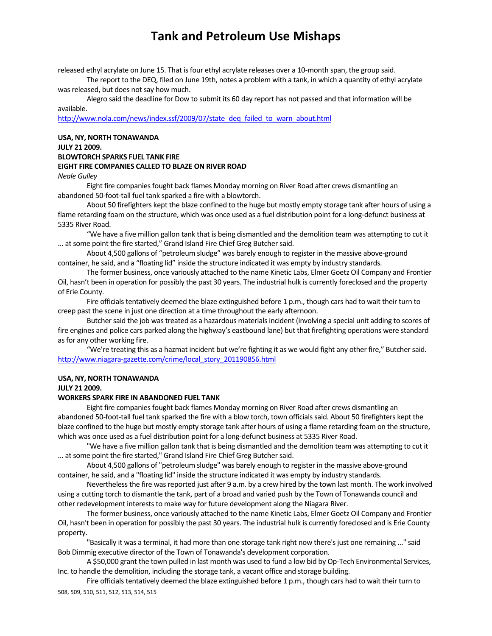released ethyl acrylate on June 15. That isfour ethyl acrylate releases over a 10‐month span, the group said.

The report to the DEQ, filed on June 19th, notes a problem with a tank, in which a quantity of ethyl acrylate was released, but does not say how much.

Alegro said the deadline for Dow to submit its 60 day report has not passed and that information will be available.

http://www.nola.com/news/index.ssf/2009/07/state\_deq\_failed\_to\_warn\_about.html

### **USA, NY, NORTH TONAWANDA JULY 21 2009. BLOWTORCH SPARKS FUEL TANK FIRE EIGHT FIRE COMPANIES CALLED TO BLAZE ON RIVER ROAD** *Neale Gulley*

Eight fire companies fought back flames Monday morning on River Road after crews dismantling an abandoned 50‐foot‐tall fuel tank sparked a fire with a blowtorch.

About 50 firefighters kept the blaze confined to the huge but mostly empty storage tank after hours of using a flame retarding foam on the structure, which was once used as a fuel distribution point for a long-defunct business at 5335 River Road.

"We have a five million gallon tank that is being dismantled and the demolition team was attempting to cut it ... at some point the fire started," Grand Island Fire Chief Greg Butcher said.

About 4,500 gallons of "petroleum sludge" was barely enough to register in the massive above‐ground container, he said, and a "floating lid" inside the structure indicated it was empty by industry standards.

The former business, once variously attached to the name Kinetic Labs, Elmer Goetz Oil Company and Frontier Oil, hasn't been in operation for possibly the past 30 years. The industrial hulk is currently foreclosed and the property of Erie County.

Fire officials tentatively deemed the blaze extinguished before 1 p.m., though cars had to wait their turn to creep past the scene in just one direction at a time throughout the early afternoon.

Butcher said the job was treated as a hazardous materials incident (involving a special unit adding to scores of fire engines and police cars parked along the highway's eastbound lane) but that firefighting operations were standard as for any other working fire.

"We're treating this as a hazmat incident but we're fighting it as we would fight any other fire," Butchersaid. http://www.niagara-gazette.com/crime/local\_story\_201190856.html

#### **USA, NY, NORTH TONAWANDA**

**JULY 21 2009.**

### **WORKERS SPARK FIRE IN ABANDONED FUEL TANK**

Eight fire companies fought back flames Monday morning on River Road after crews dismantling an abandoned 50-foot-tall fuel tank sparked the fire with a blow torch, town officials said. About 50 firefighters kept the blaze confined to the huge but mostly empty storage tank after hours of using a flame retarding foam on the structure, which was once used as a fuel distribution point for a long-defunct business at 5335 River Road.

"We have a five million gallon tank that is being dismantled and the demolition team was attempting to cut it ... at some point the fire started," Grand Island Fire Chief Greg Butcher said.

About 4,500 gallons of "petroleum sludge" was barely enough to register in the massive above‐ground container, he said, and a "floating lid" inside the structure indicated it was empty by industry standards.

Nevertheless the fire was reported just after 9 a.m. by a crew hired by the town last month. The work involved using a cutting torch to dismantle the tank, part of a broad and varied push by the Town of Tonawanda council and other redevelopment intereststo make way for future development along the Niagara River.

The former business, once variously attached to the name Kinetic Labs, Elmer Goetz Oil Company and Frontier Oil, hasn't been in operation for possibly the past 30 years. The industrial hulk is currently foreclosed and is Erie County property.

"Basically it was a terminal, it had more than one storage tank right now there's just one remaining ..." said Bob Dimmig executive director of the Town of Tonawanda's development corporation.

A \$50,000 grant the town pulled in last month was used to fund a low bid by Op‐Tech Environmental Services, Inc. to handle the demolition, including the storage tank, a vacant office and storage building.

508, 509, 510, 511, 512, 513, 514, 515 Fire officials tentatively deemed the blaze extinguished before 1 p.m., though cars had to wait their turn to